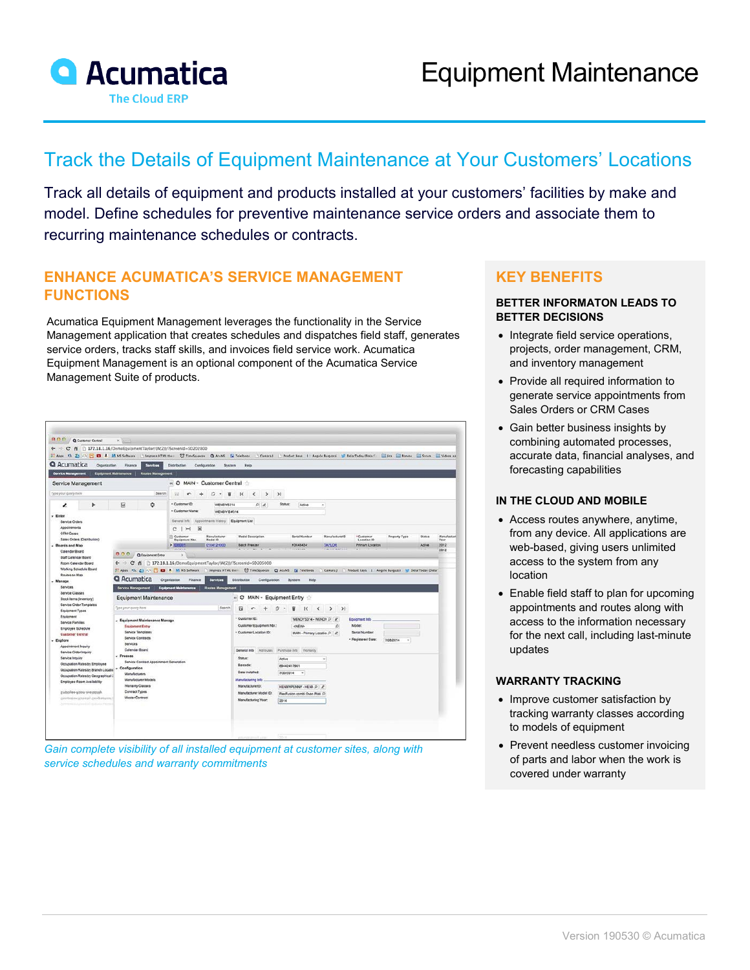

# Track the Details of Equipment Maintenance at Your Customers' Locations

Track all details of equipment and products installed at your customers' facilities by make and model. Define schedules for preventive maintenance service orders and associate them to recurring maintenance schedules or contracts.

### **ENHANCE ACUMATICA'S SERVICE MANAGEMENT FUNCTIONS**

Acumatica Equipment Management leverages the functionality in the Service Management application that creates schedules and dispatches field staff, generates service orders, tracks staff skills, and invoices field service work. Acumatica Equipment Management is an optional component of the Acumatica Service Management Suite of products.

| ← → C n   172.18.1.16/DemoEquipmentTaylor/(W(2))/?ScreenId=SD202800<br>Apps 03, 23 / 8 13 A M MS Software   Impreza HTML their. 13 TimeSqueeze   AcuMS   Si Telefonos |                                                                                          |                                                                        |                                                                                                                                                            |                               |                                                                                                                                                   | Camara J Product Keys   Angelo Burgazzi M DolarToday (DolarTo |                                         |                                           | Jira Bancos Scrum Videos pa |               |                     |
|-----------------------------------------------------------------------------------------------------------------------------------------------------------------------|------------------------------------------------------------------------------------------|------------------------------------------------------------------------|------------------------------------------------------------------------------------------------------------------------------------------------------------|-------------------------------|---------------------------------------------------------------------------------------------------------------------------------------------------|---------------------------------------------------------------|-----------------------------------------|-------------------------------------------|-----------------------------|---------------|---------------------|
| <b>Q</b> Acumatica<br>Organization                                                                                                                                    | <b>Finance</b>                                                                           | <b>Services</b>                                                        | <b>Distribution</b><br>Configuration                                                                                                                       | System                        | Help                                                                                                                                              |                                                               |                                         |                                           |                             |               |                     |
| <b>Service Management</b>                                                                                                                                             | Equipment Maintenance                                                                    | Routes Management                                                      |                                                                                                                                                            |                               |                                                                                                                                                   |                                                               |                                         |                                           |                             |               |                     |
| Service Management                                                                                                                                                    |                                                                                          |                                                                        | « C MAIN - Customer Central                                                                                                                                |                               |                                                                                                                                                   |                                                               |                                         |                                           |                             |               |                     |
| Type your query hare                                                                                                                                                  |                                                                                          | Search.                                                                | B<br>÷                                                                                                                                                     | O.<br>盲<br>$\sim$             | $\mathbb{R}$<br>$\epsilon$<br>$\rightarrow$                                                                                                       | $\mathcal{N}$                                                 |                                         |                                           |                             |               |                     |
| ı                                                                                                                                                                     | 囩                                                                                        | ☆                                                                      | · Customer ID:                                                                                                                                             | WENDYS314                     | $\mathcal{D}$                                                                                                                                     | <b>Status:</b><br>Active                                      | ٠                                       |                                           |                             |               |                     |
| $-$ Enter<br>Service Orders<br>Appointments                                                                                                                           |                                                                                          |                                                                        | · Customer Name:<br>WENDY'S #314<br>Appointments History Equipment List<br>General Info<br>$c$ $\vdash$<br>$\mathbf{x}$                                    |                               |                                                                                                                                                   |                                                               |                                         |                                           |                             |               |                     |
| <b>CRM Cases</b><br>Sales Orders (Distribution)                                                                                                                       |                                                                                          |                                                                        | <b>Ill</b> Customer<br>Equipment Nbr.                                                                                                                      | Manufacturer<br>Model ID      | <b>Medel Description</b>                                                                                                                          | <b>Berial Number</b>                                          | ManufacturerID                          | *Customer<br>Location ID                  | Property Type               | <b>Status</b> | Manufacturi<br>Year |
| - Boards and Map<br>Calendar Board                                                                                                                                    |                                                                                          | > 300001<br>0104129000<br>000<br><b>Q</b> Equipment Entry<br>$\propto$ |                                                                                                                                                            |                               | <b>Batch Freezer</b>                                                                                                                              | K3048434                                                      | <b>TAYLOR</b>                           | Primary Location                          |                             | Active        | 2012<br>2012        |
| Staff Calendar Board<br>Room Calendar Board<br><b>Working Schedule Board</b><br>Routes on Map<br>- Manage<br>Services<br>Service Classes                              | $\leftarrow$ $\rightarrow$<br><b>Q</b> Acumatica<br>Service Management                   |                                                                        | C @   172.18.1.16/DemoEquipmentTaylor/(W(2))/?ScreenId=SD205000<br>Hops 10. 23 43 2 23 3 M MS Software<br>Organization<br>Finance<br>Equipment Maintenance | Services<br>Routes Management | Interest HTML the C TimeSqueeze Q AcuMS (@ Telefonos Camara) Product Keys 1: Angelo Burgazzi I DolarToday (Dolar<br>Distribution<br>Configuration | System                                                        | Help                                    |                                           |                             |               |                     |
| Stock hams (inventory)<br>Service Order Templates<br><b>Equipment Types</b>                                                                                           | Type your query hare                                                                     | Equipment Maintenance                                                  |                                                                                                                                                            | Search                        | « C MAIN - Equipment Entry<br>а                                                                                                                   | $\mathbf{k}$                                                  | $>$ $>$<br>$\left\langle \right\rangle$ |                                           |                             |               |                     |
| Equipment<br>Service Families<br>Employee Schedule                                                                                                                    | <b>Equipment Entry</b><br>Service Templates                                              | - Equipment Maintenance Manage                                         |                                                                                                                                                            |                               | · Customer ID:<br>Customer Equipment Nbr.:<br>· Customer Location ID:                                                                             | <new></new>                                                   | WENDYS314 - WENDY J &<br>ø              | Equipment Info<br>Model:<br>Serial Number |                             |               |                     |
| <b>Customer Central</b><br>Appointment Inquiry                                                                                                                        | Service Contracts<br>Services<br>Calendar Board                                          |                                                                        |                                                                                                                                                            |                               |                                                                                                                                                   |                                                               | MAIN - Primary Locator D   2            | - Registered Date:                        | 7/28/2014                   |               |                     |
| $-$ Explore<br>Service Order Inquiry<br>Service Inquiry<br>Occupation Rates by Employee<br>Occupation Rates by Branch Locatio                                         | $-$ Process<br>- Configuration                                                           | Service Contract Appointment Generation                                |                                                                                                                                                            |                               | General Info   Afributes   Purchase Info   Warranty<br>Status:<br>Barcode:<br>Date Installed:                                                     | Active<br>89442417951<br>14                                   | $\omega$                                |                                           |                             |               |                     |
| Occupation Rates by Geographical 2<br>Employee-Room Availability                                                                                                      | <b>Manufacturers</b><br>Manufacturer Models<br><b>Warranty Classes</b><br>Contract Types |                                                                        |                                                                                                                                                            |                               | <b>Manufacturing Info</b><br>Manufacturer(O:                                                                                                      | 7/30/2014<br>HENNYPENNY-HENN D 2                              |                                         |                                           |                             |               |                     |

*Gain complete visibility of all installed equipment at customer sites, along with service schedules and warranty commitments*

## **KEY BENEFITS**

#### **BETTER INFORMATON LEADS TO BETTER DECISIONS**

- Integrate field service operations, projects, order management, CRM, and inventory management
- Provide all required information to generate service appointments from Sales Orders or CRM Cases
- Gain better business insights by combining automated processes, accurate data, financial analyses, and forecasting capabilities

#### **IN THE CLOUD AND MOBILE**

- Access routes anywhere, anytime, from any device. All applications are web-based, giving users unlimited access to the system from any location
- Enable field staff to plan for upcoming appointments and routes along with access to the information necessary for the next call, including last-minute updates

#### **WARRANTY TRACKING**

- Improve customer satisfaction by tracking warranty classes according to models of equipment
- Prevent needless customer invoicing of parts and labor when the work is covered under warranty